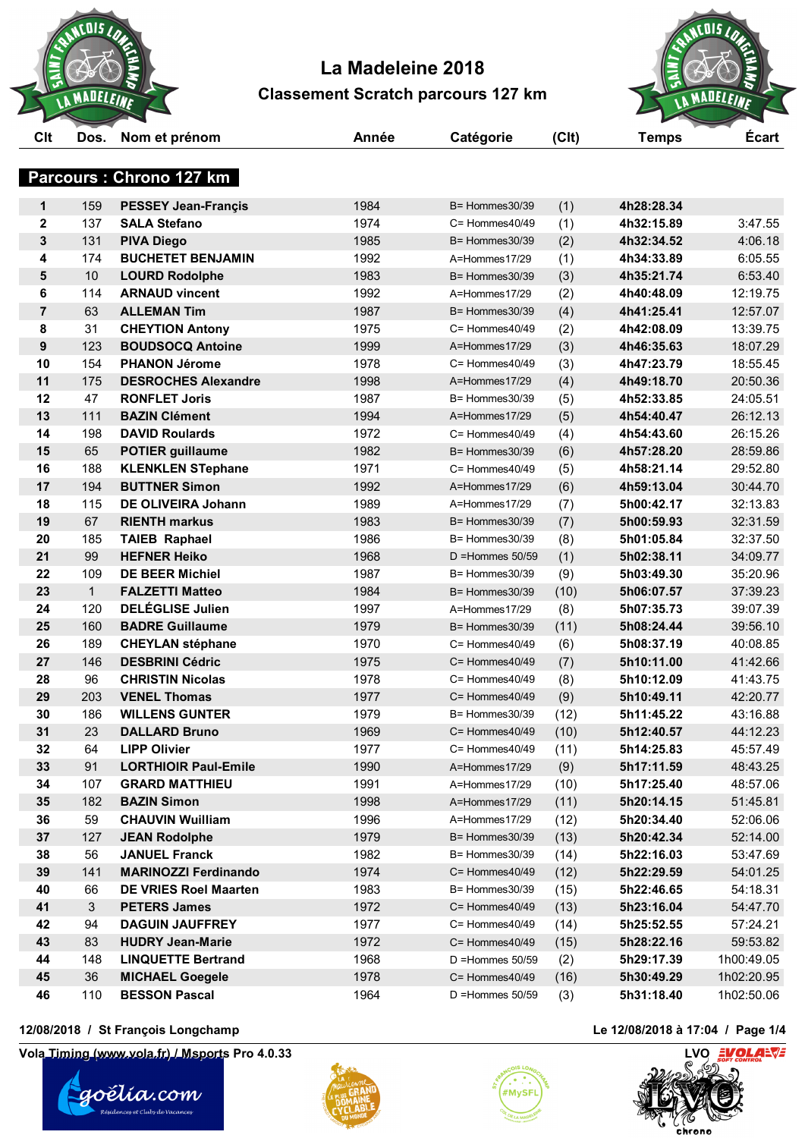



# **Parcours : Chrono 127 km**

| 1984<br>$\mathbf 1$<br>159<br><b>PESSEY Jean-Francis</b><br>(1)<br>4h28:28.34<br>$B =$ Hommes 30/39<br>1974<br>$\mathbf 2$<br>137<br><b>SALA Stefano</b><br>(1)<br>4h32:15.89<br>$C =$ Hommes $40/49$<br>3<br>131<br>1985<br>(2)<br><b>PIVA Diego</b><br>B= Hommes30/39<br>4h32:34.52<br>174<br><b>BUCHETET BENJAMIN</b><br>1992<br>4<br>4h34:33.89<br>A=Hommes17/29<br>(1)<br>5<br>$10$<br>1983<br>4h35:21.74<br><b>LOURD Rodolphe</b><br>(3)<br>$B =$ Hommes 30/39<br>114<br><b>ARNAUD vincent</b><br>1992<br>6<br>A=Hommes17/29<br>(2)<br>4h40:48.09<br>63<br>$\overline{7}$<br><b>ALLEMAN Tim</b><br>1987<br>(4)<br>4h41:25.41<br>$B =$ Hommes 30/39<br>8<br>31<br>1975<br>(2)<br>4h42:08.09<br><b>CHEYTION Antony</b><br>$C =$ Hommes $40/49$<br>$\boldsymbol{9}$<br>123<br>1999<br><b>BOUDSOCQ Antoine</b><br>A=Hommes17/29<br>(3)<br>4h46:35.63<br>1978<br>10<br>154<br><b>PHANON Jérome</b><br>$C =$ Hommes $40/49$<br>(3)<br>4h47:23.79<br>11<br>175<br><b>DESROCHES Alexandre</b><br>1998<br>(4)<br>4h49:18.70<br>A=Hommes17/29<br>12<br>47<br>1987<br><b>RONFLET Joris</b><br>$B =$ Hommes 30/39<br>(5)<br>4h52:33.85<br>13<br>111<br>1994<br>(5)<br><b>BAZIN Clément</b><br>4h54:40.47<br>A=Hommes17/29<br>198<br>1972<br>14<br><b>DAVID Roulards</b><br>(4)<br>4h54:43.60<br>$C =$ Hommes $40/49$<br>65<br>1982<br>15<br><b>POTIER guillaume</b><br>B= Hommes30/39<br>(6)<br>4h57:28.20<br>16<br>188<br>1971<br>4h58:21.14<br><b>KLENKLEN STephane</b><br>(5)<br>$C =$ Hommes $40/49$<br>194<br><b>BUTTNER Simon</b><br>1992<br>17<br>(6)<br>4h59:13.04<br>A=Hommes17/29<br>115<br>DE OLIVEIRA Johann<br>1989<br>18<br>A=Hommes17/29<br>(7)<br>5h00:42.17<br>67<br><b>RIENTH markus</b><br>1983<br>(7)<br>5h00:59.93<br>19<br>$B =$ Hommes 30/39<br>185<br>1986<br>5h01:05.84<br>20<br><b>TAIEB Raphael</b><br>$B =$ Hommes 30/39<br>(8)<br>21<br>99<br><b>HEFNER Heiko</b><br>1968<br>5h02:38.11<br>(1)<br>$D =$ Hommes 50/59<br>22<br>109<br><b>DE BEER Michiel</b><br>1987<br>5h03:49.30<br>(9)<br>B= Hommes30/39<br><b>FALZETTI Matteo</b><br>1984<br>23<br>$\mathbf{1}$<br>(10)<br>5h06:07.57<br>$B =$ Hommes 30/39<br><b>DELÉGLISE Julien</b><br>120<br>1997<br>24<br>A=Hommes17/29<br>(8)<br>5h07:35.73<br>160<br><b>BADRE Guillaume</b><br>1979<br>(11)<br>25<br>5h08:24.44<br>$B =$ Hommes 30/39<br>26<br>189<br><b>CHEYLAN stéphane</b><br>1970<br>5h08:37.19<br>$C =$ Hommes $40/49$<br>(6)<br>146<br><b>DESBRINI Cédric</b><br>1975<br>27<br>(7)<br>5h10:11.00<br>$C =$ Hommes $40/49$<br>28<br>96<br><b>CHRISTIN Nicolas</b><br>1978<br>(8)<br>5h10:12.09<br>$C =$ Hommes $40/49$<br><b>VENEL Thomas</b><br>1977<br>29<br>203<br>(9)<br>5h10:49.11<br>$C =$ Hommes $40/49$<br>1979<br>186<br><b>WILLENS GUNTER</b><br>(12)<br>5h11:45.22<br>30<br>$B =$ Hommes 30/39<br>23<br><b>DALLARD Bruno</b><br>1969<br>31<br>C= Hommes40/49<br>(10)<br>5h12:40.57<br>64<br>1977<br>5h14:25.83<br>32<br><b>LIPP Olivier</b><br>$C =$ Hommes $40/49$<br>(11)<br>33<br>91<br>1990<br>5h17:11.59<br><b>LORTHIOIR Paul-Emile</b><br>A=Hommes17/29<br>(9)<br>34<br>107<br><b>GRARD MATTHIEU</b><br>1991<br>5h17:25.40<br>A=Hommes17/29<br>(10)<br>35<br>182<br><b>BAZIN Simon</b><br>1998<br>A=Hommes17/29<br>(11)<br>5h20:14.15<br>59<br><b>CHAUVIN Wuilliam</b><br>1996<br>(12)<br>5h20:34.40<br>36<br>A=Hommes17/29<br>127<br>1979<br>37<br><b>JEAN Rodolphe</b><br>(13)<br>5h20:42.34<br>B= Hommes30/39<br>38<br>56<br><b>JANUEL Franck</b><br>1982<br>B= Hommes30/39<br>(14)<br>5h22:16.03<br>141<br><b>MARINOZZI Ferdinando</b><br>1974<br>(12)<br>5h22:29.59<br>39<br>C= Hommes40/49<br>1983<br>40<br>66<br><b>DE VRIES Roel Maarten</b><br>B= Hommes30/39<br>(15)<br>5h22:46.65<br>3<br><b>PETERS James</b><br>1972<br>5h23:16.04<br>41<br>C= Hommes40/49<br>(13)<br><b>DAGUIN JAUFFREY</b><br>42<br>94<br>1977<br>(14)<br>5h25:52.55<br>$C =$ Hommes $40/49$<br>43<br>83<br><b>HUDRY Jean-Marie</b><br>1972<br>C= Hommes40/49<br>(15)<br>5h28:22.16<br>44<br>148<br><b>LINQUETTE Bertrand</b><br>1968<br>$D =$ Hommes 50/59<br>(2)<br>5h29:17.39<br>45<br>36<br><b>MICHAEL Goegele</b><br>1978<br>5h30:49.29<br>(16)<br>C= Hommes40/49<br><b>BESSON Pascal</b><br>46<br>110<br>1964<br>5h31:18.40<br>$D =$ Hommes 50/59<br>(3) |  |  |  |            |
|----------------------------------------------------------------------------------------------------------------------------------------------------------------------------------------------------------------------------------------------------------------------------------------------------------------------------------------------------------------------------------------------------------------------------------------------------------------------------------------------------------------------------------------------------------------------------------------------------------------------------------------------------------------------------------------------------------------------------------------------------------------------------------------------------------------------------------------------------------------------------------------------------------------------------------------------------------------------------------------------------------------------------------------------------------------------------------------------------------------------------------------------------------------------------------------------------------------------------------------------------------------------------------------------------------------------------------------------------------------------------------------------------------------------------------------------------------------------------------------------------------------------------------------------------------------------------------------------------------------------------------------------------------------------------------------------------------------------------------------------------------------------------------------------------------------------------------------------------------------------------------------------------------------------------------------------------------------------------------------------------------------------------------------------------------------------------------------------------------------------------------------------------------------------------------------------------------------------------------------------------------------------------------------------------------------------------------------------------------------------------------------------------------------------------------------------------------------------------------------------------------------------------------------------------------------------------------------------------------------------------------------------------------------------------------------------------------------------------------------------------------------------------------------------------------------------------------------------------------------------------------------------------------------------------------------------------------------------------------------------------------------------------------------------------------------------------------------------------------------------------------------------------------------------------------------------------------------------------------------------------------------------------------------------------------------------------------------------------------------------------------------------------------------------------------------------------------------------------------------------------------------------------------------------------------------------------------------------------------------------------------------------------------------------------------------------------------------------------------------------------------------------------------------------------------------------------------------------------------------------------------------------------------------------------------------------------------------------------------------------------------------------------------------------------------------------------------------------------------------------------------------------------------------------------------------------------------------------------------------------------|--|--|--|------------|
|                                                                                                                                                                                                                                                                                                                                                                                                                                                                                                                                                                                                                                                                                                                                                                                                                                                                                                                                                                                                                                                                                                                                                                                                                                                                                                                                                                                                                                                                                                                                                                                                                                                                                                                                                                                                                                                                                                                                                                                                                                                                                                                                                                                                                                                                                                                                                                                                                                                                                                                                                                                                                                                                                                                                                                                                                                                                                                                                                                                                                                                                                                                                                                                                                                                                                                                                                                                                                                                                                                                                                                                                                                                                                                                                                                                                                                                                                                                                                                                                                                                                                                                                                                                                                                                    |  |  |  |            |
|                                                                                                                                                                                                                                                                                                                                                                                                                                                                                                                                                                                                                                                                                                                                                                                                                                                                                                                                                                                                                                                                                                                                                                                                                                                                                                                                                                                                                                                                                                                                                                                                                                                                                                                                                                                                                                                                                                                                                                                                                                                                                                                                                                                                                                                                                                                                                                                                                                                                                                                                                                                                                                                                                                                                                                                                                                                                                                                                                                                                                                                                                                                                                                                                                                                                                                                                                                                                                                                                                                                                                                                                                                                                                                                                                                                                                                                                                                                                                                                                                                                                                                                                                                                                                                                    |  |  |  | 3:47.55    |
|                                                                                                                                                                                                                                                                                                                                                                                                                                                                                                                                                                                                                                                                                                                                                                                                                                                                                                                                                                                                                                                                                                                                                                                                                                                                                                                                                                                                                                                                                                                                                                                                                                                                                                                                                                                                                                                                                                                                                                                                                                                                                                                                                                                                                                                                                                                                                                                                                                                                                                                                                                                                                                                                                                                                                                                                                                                                                                                                                                                                                                                                                                                                                                                                                                                                                                                                                                                                                                                                                                                                                                                                                                                                                                                                                                                                                                                                                                                                                                                                                                                                                                                                                                                                                                                    |  |  |  | 4:06.18    |
|                                                                                                                                                                                                                                                                                                                                                                                                                                                                                                                                                                                                                                                                                                                                                                                                                                                                                                                                                                                                                                                                                                                                                                                                                                                                                                                                                                                                                                                                                                                                                                                                                                                                                                                                                                                                                                                                                                                                                                                                                                                                                                                                                                                                                                                                                                                                                                                                                                                                                                                                                                                                                                                                                                                                                                                                                                                                                                                                                                                                                                                                                                                                                                                                                                                                                                                                                                                                                                                                                                                                                                                                                                                                                                                                                                                                                                                                                                                                                                                                                                                                                                                                                                                                                                                    |  |  |  | 6:05.55    |
|                                                                                                                                                                                                                                                                                                                                                                                                                                                                                                                                                                                                                                                                                                                                                                                                                                                                                                                                                                                                                                                                                                                                                                                                                                                                                                                                                                                                                                                                                                                                                                                                                                                                                                                                                                                                                                                                                                                                                                                                                                                                                                                                                                                                                                                                                                                                                                                                                                                                                                                                                                                                                                                                                                                                                                                                                                                                                                                                                                                                                                                                                                                                                                                                                                                                                                                                                                                                                                                                                                                                                                                                                                                                                                                                                                                                                                                                                                                                                                                                                                                                                                                                                                                                                                                    |  |  |  | 6:53.40    |
|                                                                                                                                                                                                                                                                                                                                                                                                                                                                                                                                                                                                                                                                                                                                                                                                                                                                                                                                                                                                                                                                                                                                                                                                                                                                                                                                                                                                                                                                                                                                                                                                                                                                                                                                                                                                                                                                                                                                                                                                                                                                                                                                                                                                                                                                                                                                                                                                                                                                                                                                                                                                                                                                                                                                                                                                                                                                                                                                                                                                                                                                                                                                                                                                                                                                                                                                                                                                                                                                                                                                                                                                                                                                                                                                                                                                                                                                                                                                                                                                                                                                                                                                                                                                                                                    |  |  |  | 12:19.75   |
|                                                                                                                                                                                                                                                                                                                                                                                                                                                                                                                                                                                                                                                                                                                                                                                                                                                                                                                                                                                                                                                                                                                                                                                                                                                                                                                                                                                                                                                                                                                                                                                                                                                                                                                                                                                                                                                                                                                                                                                                                                                                                                                                                                                                                                                                                                                                                                                                                                                                                                                                                                                                                                                                                                                                                                                                                                                                                                                                                                                                                                                                                                                                                                                                                                                                                                                                                                                                                                                                                                                                                                                                                                                                                                                                                                                                                                                                                                                                                                                                                                                                                                                                                                                                                                                    |  |  |  | 12:57.07   |
|                                                                                                                                                                                                                                                                                                                                                                                                                                                                                                                                                                                                                                                                                                                                                                                                                                                                                                                                                                                                                                                                                                                                                                                                                                                                                                                                                                                                                                                                                                                                                                                                                                                                                                                                                                                                                                                                                                                                                                                                                                                                                                                                                                                                                                                                                                                                                                                                                                                                                                                                                                                                                                                                                                                                                                                                                                                                                                                                                                                                                                                                                                                                                                                                                                                                                                                                                                                                                                                                                                                                                                                                                                                                                                                                                                                                                                                                                                                                                                                                                                                                                                                                                                                                                                                    |  |  |  | 13:39.75   |
|                                                                                                                                                                                                                                                                                                                                                                                                                                                                                                                                                                                                                                                                                                                                                                                                                                                                                                                                                                                                                                                                                                                                                                                                                                                                                                                                                                                                                                                                                                                                                                                                                                                                                                                                                                                                                                                                                                                                                                                                                                                                                                                                                                                                                                                                                                                                                                                                                                                                                                                                                                                                                                                                                                                                                                                                                                                                                                                                                                                                                                                                                                                                                                                                                                                                                                                                                                                                                                                                                                                                                                                                                                                                                                                                                                                                                                                                                                                                                                                                                                                                                                                                                                                                                                                    |  |  |  | 18:07.29   |
|                                                                                                                                                                                                                                                                                                                                                                                                                                                                                                                                                                                                                                                                                                                                                                                                                                                                                                                                                                                                                                                                                                                                                                                                                                                                                                                                                                                                                                                                                                                                                                                                                                                                                                                                                                                                                                                                                                                                                                                                                                                                                                                                                                                                                                                                                                                                                                                                                                                                                                                                                                                                                                                                                                                                                                                                                                                                                                                                                                                                                                                                                                                                                                                                                                                                                                                                                                                                                                                                                                                                                                                                                                                                                                                                                                                                                                                                                                                                                                                                                                                                                                                                                                                                                                                    |  |  |  | 18:55.45   |
|                                                                                                                                                                                                                                                                                                                                                                                                                                                                                                                                                                                                                                                                                                                                                                                                                                                                                                                                                                                                                                                                                                                                                                                                                                                                                                                                                                                                                                                                                                                                                                                                                                                                                                                                                                                                                                                                                                                                                                                                                                                                                                                                                                                                                                                                                                                                                                                                                                                                                                                                                                                                                                                                                                                                                                                                                                                                                                                                                                                                                                                                                                                                                                                                                                                                                                                                                                                                                                                                                                                                                                                                                                                                                                                                                                                                                                                                                                                                                                                                                                                                                                                                                                                                                                                    |  |  |  | 20:50.36   |
|                                                                                                                                                                                                                                                                                                                                                                                                                                                                                                                                                                                                                                                                                                                                                                                                                                                                                                                                                                                                                                                                                                                                                                                                                                                                                                                                                                                                                                                                                                                                                                                                                                                                                                                                                                                                                                                                                                                                                                                                                                                                                                                                                                                                                                                                                                                                                                                                                                                                                                                                                                                                                                                                                                                                                                                                                                                                                                                                                                                                                                                                                                                                                                                                                                                                                                                                                                                                                                                                                                                                                                                                                                                                                                                                                                                                                                                                                                                                                                                                                                                                                                                                                                                                                                                    |  |  |  | 24:05.51   |
|                                                                                                                                                                                                                                                                                                                                                                                                                                                                                                                                                                                                                                                                                                                                                                                                                                                                                                                                                                                                                                                                                                                                                                                                                                                                                                                                                                                                                                                                                                                                                                                                                                                                                                                                                                                                                                                                                                                                                                                                                                                                                                                                                                                                                                                                                                                                                                                                                                                                                                                                                                                                                                                                                                                                                                                                                                                                                                                                                                                                                                                                                                                                                                                                                                                                                                                                                                                                                                                                                                                                                                                                                                                                                                                                                                                                                                                                                                                                                                                                                                                                                                                                                                                                                                                    |  |  |  | 26:12.13   |
|                                                                                                                                                                                                                                                                                                                                                                                                                                                                                                                                                                                                                                                                                                                                                                                                                                                                                                                                                                                                                                                                                                                                                                                                                                                                                                                                                                                                                                                                                                                                                                                                                                                                                                                                                                                                                                                                                                                                                                                                                                                                                                                                                                                                                                                                                                                                                                                                                                                                                                                                                                                                                                                                                                                                                                                                                                                                                                                                                                                                                                                                                                                                                                                                                                                                                                                                                                                                                                                                                                                                                                                                                                                                                                                                                                                                                                                                                                                                                                                                                                                                                                                                                                                                                                                    |  |  |  | 26:15.26   |
|                                                                                                                                                                                                                                                                                                                                                                                                                                                                                                                                                                                                                                                                                                                                                                                                                                                                                                                                                                                                                                                                                                                                                                                                                                                                                                                                                                                                                                                                                                                                                                                                                                                                                                                                                                                                                                                                                                                                                                                                                                                                                                                                                                                                                                                                                                                                                                                                                                                                                                                                                                                                                                                                                                                                                                                                                                                                                                                                                                                                                                                                                                                                                                                                                                                                                                                                                                                                                                                                                                                                                                                                                                                                                                                                                                                                                                                                                                                                                                                                                                                                                                                                                                                                                                                    |  |  |  | 28:59.86   |
|                                                                                                                                                                                                                                                                                                                                                                                                                                                                                                                                                                                                                                                                                                                                                                                                                                                                                                                                                                                                                                                                                                                                                                                                                                                                                                                                                                                                                                                                                                                                                                                                                                                                                                                                                                                                                                                                                                                                                                                                                                                                                                                                                                                                                                                                                                                                                                                                                                                                                                                                                                                                                                                                                                                                                                                                                                                                                                                                                                                                                                                                                                                                                                                                                                                                                                                                                                                                                                                                                                                                                                                                                                                                                                                                                                                                                                                                                                                                                                                                                                                                                                                                                                                                                                                    |  |  |  | 29:52.80   |
|                                                                                                                                                                                                                                                                                                                                                                                                                                                                                                                                                                                                                                                                                                                                                                                                                                                                                                                                                                                                                                                                                                                                                                                                                                                                                                                                                                                                                                                                                                                                                                                                                                                                                                                                                                                                                                                                                                                                                                                                                                                                                                                                                                                                                                                                                                                                                                                                                                                                                                                                                                                                                                                                                                                                                                                                                                                                                                                                                                                                                                                                                                                                                                                                                                                                                                                                                                                                                                                                                                                                                                                                                                                                                                                                                                                                                                                                                                                                                                                                                                                                                                                                                                                                                                                    |  |  |  | 30:44.70   |
|                                                                                                                                                                                                                                                                                                                                                                                                                                                                                                                                                                                                                                                                                                                                                                                                                                                                                                                                                                                                                                                                                                                                                                                                                                                                                                                                                                                                                                                                                                                                                                                                                                                                                                                                                                                                                                                                                                                                                                                                                                                                                                                                                                                                                                                                                                                                                                                                                                                                                                                                                                                                                                                                                                                                                                                                                                                                                                                                                                                                                                                                                                                                                                                                                                                                                                                                                                                                                                                                                                                                                                                                                                                                                                                                                                                                                                                                                                                                                                                                                                                                                                                                                                                                                                                    |  |  |  | 32:13.83   |
|                                                                                                                                                                                                                                                                                                                                                                                                                                                                                                                                                                                                                                                                                                                                                                                                                                                                                                                                                                                                                                                                                                                                                                                                                                                                                                                                                                                                                                                                                                                                                                                                                                                                                                                                                                                                                                                                                                                                                                                                                                                                                                                                                                                                                                                                                                                                                                                                                                                                                                                                                                                                                                                                                                                                                                                                                                                                                                                                                                                                                                                                                                                                                                                                                                                                                                                                                                                                                                                                                                                                                                                                                                                                                                                                                                                                                                                                                                                                                                                                                                                                                                                                                                                                                                                    |  |  |  | 32:31.59   |
|                                                                                                                                                                                                                                                                                                                                                                                                                                                                                                                                                                                                                                                                                                                                                                                                                                                                                                                                                                                                                                                                                                                                                                                                                                                                                                                                                                                                                                                                                                                                                                                                                                                                                                                                                                                                                                                                                                                                                                                                                                                                                                                                                                                                                                                                                                                                                                                                                                                                                                                                                                                                                                                                                                                                                                                                                                                                                                                                                                                                                                                                                                                                                                                                                                                                                                                                                                                                                                                                                                                                                                                                                                                                                                                                                                                                                                                                                                                                                                                                                                                                                                                                                                                                                                                    |  |  |  | 32:37.50   |
|                                                                                                                                                                                                                                                                                                                                                                                                                                                                                                                                                                                                                                                                                                                                                                                                                                                                                                                                                                                                                                                                                                                                                                                                                                                                                                                                                                                                                                                                                                                                                                                                                                                                                                                                                                                                                                                                                                                                                                                                                                                                                                                                                                                                                                                                                                                                                                                                                                                                                                                                                                                                                                                                                                                                                                                                                                                                                                                                                                                                                                                                                                                                                                                                                                                                                                                                                                                                                                                                                                                                                                                                                                                                                                                                                                                                                                                                                                                                                                                                                                                                                                                                                                                                                                                    |  |  |  | 34:09.77   |
|                                                                                                                                                                                                                                                                                                                                                                                                                                                                                                                                                                                                                                                                                                                                                                                                                                                                                                                                                                                                                                                                                                                                                                                                                                                                                                                                                                                                                                                                                                                                                                                                                                                                                                                                                                                                                                                                                                                                                                                                                                                                                                                                                                                                                                                                                                                                                                                                                                                                                                                                                                                                                                                                                                                                                                                                                                                                                                                                                                                                                                                                                                                                                                                                                                                                                                                                                                                                                                                                                                                                                                                                                                                                                                                                                                                                                                                                                                                                                                                                                                                                                                                                                                                                                                                    |  |  |  | 35:20.96   |
|                                                                                                                                                                                                                                                                                                                                                                                                                                                                                                                                                                                                                                                                                                                                                                                                                                                                                                                                                                                                                                                                                                                                                                                                                                                                                                                                                                                                                                                                                                                                                                                                                                                                                                                                                                                                                                                                                                                                                                                                                                                                                                                                                                                                                                                                                                                                                                                                                                                                                                                                                                                                                                                                                                                                                                                                                                                                                                                                                                                                                                                                                                                                                                                                                                                                                                                                                                                                                                                                                                                                                                                                                                                                                                                                                                                                                                                                                                                                                                                                                                                                                                                                                                                                                                                    |  |  |  | 37:39.23   |
|                                                                                                                                                                                                                                                                                                                                                                                                                                                                                                                                                                                                                                                                                                                                                                                                                                                                                                                                                                                                                                                                                                                                                                                                                                                                                                                                                                                                                                                                                                                                                                                                                                                                                                                                                                                                                                                                                                                                                                                                                                                                                                                                                                                                                                                                                                                                                                                                                                                                                                                                                                                                                                                                                                                                                                                                                                                                                                                                                                                                                                                                                                                                                                                                                                                                                                                                                                                                                                                                                                                                                                                                                                                                                                                                                                                                                                                                                                                                                                                                                                                                                                                                                                                                                                                    |  |  |  | 39:07.39   |
|                                                                                                                                                                                                                                                                                                                                                                                                                                                                                                                                                                                                                                                                                                                                                                                                                                                                                                                                                                                                                                                                                                                                                                                                                                                                                                                                                                                                                                                                                                                                                                                                                                                                                                                                                                                                                                                                                                                                                                                                                                                                                                                                                                                                                                                                                                                                                                                                                                                                                                                                                                                                                                                                                                                                                                                                                                                                                                                                                                                                                                                                                                                                                                                                                                                                                                                                                                                                                                                                                                                                                                                                                                                                                                                                                                                                                                                                                                                                                                                                                                                                                                                                                                                                                                                    |  |  |  | 39:56.10   |
|                                                                                                                                                                                                                                                                                                                                                                                                                                                                                                                                                                                                                                                                                                                                                                                                                                                                                                                                                                                                                                                                                                                                                                                                                                                                                                                                                                                                                                                                                                                                                                                                                                                                                                                                                                                                                                                                                                                                                                                                                                                                                                                                                                                                                                                                                                                                                                                                                                                                                                                                                                                                                                                                                                                                                                                                                                                                                                                                                                                                                                                                                                                                                                                                                                                                                                                                                                                                                                                                                                                                                                                                                                                                                                                                                                                                                                                                                                                                                                                                                                                                                                                                                                                                                                                    |  |  |  | 40:08.85   |
|                                                                                                                                                                                                                                                                                                                                                                                                                                                                                                                                                                                                                                                                                                                                                                                                                                                                                                                                                                                                                                                                                                                                                                                                                                                                                                                                                                                                                                                                                                                                                                                                                                                                                                                                                                                                                                                                                                                                                                                                                                                                                                                                                                                                                                                                                                                                                                                                                                                                                                                                                                                                                                                                                                                                                                                                                                                                                                                                                                                                                                                                                                                                                                                                                                                                                                                                                                                                                                                                                                                                                                                                                                                                                                                                                                                                                                                                                                                                                                                                                                                                                                                                                                                                                                                    |  |  |  | 41:42.66   |
|                                                                                                                                                                                                                                                                                                                                                                                                                                                                                                                                                                                                                                                                                                                                                                                                                                                                                                                                                                                                                                                                                                                                                                                                                                                                                                                                                                                                                                                                                                                                                                                                                                                                                                                                                                                                                                                                                                                                                                                                                                                                                                                                                                                                                                                                                                                                                                                                                                                                                                                                                                                                                                                                                                                                                                                                                                                                                                                                                                                                                                                                                                                                                                                                                                                                                                                                                                                                                                                                                                                                                                                                                                                                                                                                                                                                                                                                                                                                                                                                                                                                                                                                                                                                                                                    |  |  |  | 41:43.75   |
|                                                                                                                                                                                                                                                                                                                                                                                                                                                                                                                                                                                                                                                                                                                                                                                                                                                                                                                                                                                                                                                                                                                                                                                                                                                                                                                                                                                                                                                                                                                                                                                                                                                                                                                                                                                                                                                                                                                                                                                                                                                                                                                                                                                                                                                                                                                                                                                                                                                                                                                                                                                                                                                                                                                                                                                                                                                                                                                                                                                                                                                                                                                                                                                                                                                                                                                                                                                                                                                                                                                                                                                                                                                                                                                                                                                                                                                                                                                                                                                                                                                                                                                                                                                                                                                    |  |  |  | 42:20.77   |
|                                                                                                                                                                                                                                                                                                                                                                                                                                                                                                                                                                                                                                                                                                                                                                                                                                                                                                                                                                                                                                                                                                                                                                                                                                                                                                                                                                                                                                                                                                                                                                                                                                                                                                                                                                                                                                                                                                                                                                                                                                                                                                                                                                                                                                                                                                                                                                                                                                                                                                                                                                                                                                                                                                                                                                                                                                                                                                                                                                                                                                                                                                                                                                                                                                                                                                                                                                                                                                                                                                                                                                                                                                                                                                                                                                                                                                                                                                                                                                                                                                                                                                                                                                                                                                                    |  |  |  | 43:16.88   |
|                                                                                                                                                                                                                                                                                                                                                                                                                                                                                                                                                                                                                                                                                                                                                                                                                                                                                                                                                                                                                                                                                                                                                                                                                                                                                                                                                                                                                                                                                                                                                                                                                                                                                                                                                                                                                                                                                                                                                                                                                                                                                                                                                                                                                                                                                                                                                                                                                                                                                                                                                                                                                                                                                                                                                                                                                                                                                                                                                                                                                                                                                                                                                                                                                                                                                                                                                                                                                                                                                                                                                                                                                                                                                                                                                                                                                                                                                                                                                                                                                                                                                                                                                                                                                                                    |  |  |  | 44:12.23   |
|                                                                                                                                                                                                                                                                                                                                                                                                                                                                                                                                                                                                                                                                                                                                                                                                                                                                                                                                                                                                                                                                                                                                                                                                                                                                                                                                                                                                                                                                                                                                                                                                                                                                                                                                                                                                                                                                                                                                                                                                                                                                                                                                                                                                                                                                                                                                                                                                                                                                                                                                                                                                                                                                                                                                                                                                                                                                                                                                                                                                                                                                                                                                                                                                                                                                                                                                                                                                                                                                                                                                                                                                                                                                                                                                                                                                                                                                                                                                                                                                                                                                                                                                                                                                                                                    |  |  |  | 45:57.49   |
|                                                                                                                                                                                                                                                                                                                                                                                                                                                                                                                                                                                                                                                                                                                                                                                                                                                                                                                                                                                                                                                                                                                                                                                                                                                                                                                                                                                                                                                                                                                                                                                                                                                                                                                                                                                                                                                                                                                                                                                                                                                                                                                                                                                                                                                                                                                                                                                                                                                                                                                                                                                                                                                                                                                                                                                                                                                                                                                                                                                                                                                                                                                                                                                                                                                                                                                                                                                                                                                                                                                                                                                                                                                                                                                                                                                                                                                                                                                                                                                                                                                                                                                                                                                                                                                    |  |  |  | 48:43.25   |
|                                                                                                                                                                                                                                                                                                                                                                                                                                                                                                                                                                                                                                                                                                                                                                                                                                                                                                                                                                                                                                                                                                                                                                                                                                                                                                                                                                                                                                                                                                                                                                                                                                                                                                                                                                                                                                                                                                                                                                                                                                                                                                                                                                                                                                                                                                                                                                                                                                                                                                                                                                                                                                                                                                                                                                                                                                                                                                                                                                                                                                                                                                                                                                                                                                                                                                                                                                                                                                                                                                                                                                                                                                                                                                                                                                                                                                                                                                                                                                                                                                                                                                                                                                                                                                                    |  |  |  | 48:57.06   |
|                                                                                                                                                                                                                                                                                                                                                                                                                                                                                                                                                                                                                                                                                                                                                                                                                                                                                                                                                                                                                                                                                                                                                                                                                                                                                                                                                                                                                                                                                                                                                                                                                                                                                                                                                                                                                                                                                                                                                                                                                                                                                                                                                                                                                                                                                                                                                                                                                                                                                                                                                                                                                                                                                                                                                                                                                                                                                                                                                                                                                                                                                                                                                                                                                                                                                                                                                                                                                                                                                                                                                                                                                                                                                                                                                                                                                                                                                                                                                                                                                                                                                                                                                                                                                                                    |  |  |  | 51:45.81   |
|                                                                                                                                                                                                                                                                                                                                                                                                                                                                                                                                                                                                                                                                                                                                                                                                                                                                                                                                                                                                                                                                                                                                                                                                                                                                                                                                                                                                                                                                                                                                                                                                                                                                                                                                                                                                                                                                                                                                                                                                                                                                                                                                                                                                                                                                                                                                                                                                                                                                                                                                                                                                                                                                                                                                                                                                                                                                                                                                                                                                                                                                                                                                                                                                                                                                                                                                                                                                                                                                                                                                                                                                                                                                                                                                                                                                                                                                                                                                                                                                                                                                                                                                                                                                                                                    |  |  |  | 52:06.06   |
|                                                                                                                                                                                                                                                                                                                                                                                                                                                                                                                                                                                                                                                                                                                                                                                                                                                                                                                                                                                                                                                                                                                                                                                                                                                                                                                                                                                                                                                                                                                                                                                                                                                                                                                                                                                                                                                                                                                                                                                                                                                                                                                                                                                                                                                                                                                                                                                                                                                                                                                                                                                                                                                                                                                                                                                                                                                                                                                                                                                                                                                                                                                                                                                                                                                                                                                                                                                                                                                                                                                                                                                                                                                                                                                                                                                                                                                                                                                                                                                                                                                                                                                                                                                                                                                    |  |  |  | 52:14.00   |
|                                                                                                                                                                                                                                                                                                                                                                                                                                                                                                                                                                                                                                                                                                                                                                                                                                                                                                                                                                                                                                                                                                                                                                                                                                                                                                                                                                                                                                                                                                                                                                                                                                                                                                                                                                                                                                                                                                                                                                                                                                                                                                                                                                                                                                                                                                                                                                                                                                                                                                                                                                                                                                                                                                                                                                                                                                                                                                                                                                                                                                                                                                                                                                                                                                                                                                                                                                                                                                                                                                                                                                                                                                                                                                                                                                                                                                                                                                                                                                                                                                                                                                                                                                                                                                                    |  |  |  | 53:47.69   |
|                                                                                                                                                                                                                                                                                                                                                                                                                                                                                                                                                                                                                                                                                                                                                                                                                                                                                                                                                                                                                                                                                                                                                                                                                                                                                                                                                                                                                                                                                                                                                                                                                                                                                                                                                                                                                                                                                                                                                                                                                                                                                                                                                                                                                                                                                                                                                                                                                                                                                                                                                                                                                                                                                                                                                                                                                                                                                                                                                                                                                                                                                                                                                                                                                                                                                                                                                                                                                                                                                                                                                                                                                                                                                                                                                                                                                                                                                                                                                                                                                                                                                                                                                                                                                                                    |  |  |  | 54:01.25   |
|                                                                                                                                                                                                                                                                                                                                                                                                                                                                                                                                                                                                                                                                                                                                                                                                                                                                                                                                                                                                                                                                                                                                                                                                                                                                                                                                                                                                                                                                                                                                                                                                                                                                                                                                                                                                                                                                                                                                                                                                                                                                                                                                                                                                                                                                                                                                                                                                                                                                                                                                                                                                                                                                                                                                                                                                                                                                                                                                                                                                                                                                                                                                                                                                                                                                                                                                                                                                                                                                                                                                                                                                                                                                                                                                                                                                                                                                                                                                                                                                                                                                                                                                                                                                                                                    |  |  |  | 54:18.31   |
|                                                                                                                                                                                                                                                                                                                                                                                                                                                                                                                                                                                                                                                                                                                                                                                                                                                                                                                                                                                                                                                                                                                                                                                                                                                                                                                                                                                                                                                                                                                                                                                                                                                                                                                                                                                                                                                                                                                                                                                                                                                                                                                                                                                                                                                                                                                                                                                                                                                                                                                                                                                                                                                                                                                                                                                                                                                                                                                                                                                                                                                                                                                                                                                                                                                                                                                                                                                                                                                                                                                                                                                                                                                                                                                                                                                                                                                                                                                                                                                                                                                                                                                                                                                                                                                    |  |  |  | 54:47.70   |
|                                                                                                                                                                                                                                                                                                                                                                                                                                                                                                                                                                                                                                                                                                                                                                                                                                                                                                                                                                                                                                                                                                                                                                                                                                                                                                                                                                                                                                                                                                                                                                                                                                                                                                                                                                                                                                                                                                                                                                                                                                                                                                                                                                                                                                                                                                                                                                                                                                                                                                                                                                                                                                                                                                                                                                                                                                                                                                                                                                                                                                                                                                                                                                                                                                                                                                                                                                                                                                                                                                                                                                                                                                                                                                                                                                                                                                                                                                                                                                                                                                                                                                                                                                                                                                                    |  |  |  | 57:24.21   |
|                                                                                                                                                                                                                                                                                                                                                                                                                                                                                                                                                                                                                                                                                                                                                                                                                                                                                                                                                                                                                                                                                                                                                                                                                                                                                                                                                                                                                                                                                                                                                                                                                                                                                                                                                                                                                                                                                                                                                                                                                                                                                                                                                                                                                                                                                                                                                                                                                                                                                                                                                                                                                                                                                                                                                                                                                                                                                                                                                                                                                                                                                                                                                                                                                                                                                                                                                                                                                                                                                                                                                                                                                                                                                                                                                                                                                                                                                                                                                                                                                                                                                                                                                                                                                                                    |  |  |  | 59:53.82   |
|                                                                                                                                                                                                                                                                                                                                                                                                                                                                                                                                                                                                                                                                                                                                                                                                                                                                                                                                                                                                                                                                                                                                                                                                                                                                                                                                                                                                                                                                                                                                                                                                                                                                                                                                                                                                                                                                                                                                                                                                                                                                                                                                                                                                                                                                                                                                                                                                                                                                                                                                                                                                                                                                                                                                                                                                                                                                                                                                                                                                                                                                                                                                                                                                                                                                                                                                                                                                                                                                                                                                                                                                                                                                                                                                                                                                                                                                                                                                                                                                                                                                                                                                                                                                                                                    |  |  |  | 1h00:49.05 |
|                                                                                                                                                                                                                                                                                                                                                                                                                                                                                                                                                                                                                                                                                                                                                                                                                                                                                                                                                                                                                                                                                                                                                                                                                                                                                                                                                                                                                                                                                                                                                                                                                                                                                                                                                                                                                                                                                                                                                                                                                                                                                                                                                                                                                                                                                                                                                                                                                                                                                                                                                                                                                                                                                                                                                                                                                                                                                                                                                                                                                                                                                                                                                                                                                                                                                                                                                                                                                                                                                                                                                                                                                                                                                                                                                                                                                                                                                                                                                                                                                                                                                                                                                                                                                                                    |  |  |  | 1h02:20.95 |
|                                                                                                                                                                                                                                                                                                                                                                                                                                                                                                                                                                                                                                                                                                                                                                                                                                                                                                                                                                                                                                                                                                                                                                                                                                                                                                                                                                                                                                                                                                                                                                                                                                                                                                                                                                                                                                                                                                                                                                                                                                                                                                                                                                                                                                                                                                                                                                                                                                                                                                                                                                                                                                                                                                                                                                                                                                                                                                                                                                                                                                                                                                                                                                                                                                                                                                                                                                                                                                                                                                                                                                                                                                                                                                                                                                                                                                                                                                                                                                                                                                                                                                                                                                                                                                                    |  |  |  | 1h02:50.06 |

### **12/08/2018 / St François Longchamp Le 12/08/2018 à 17:04 / Page 1/4**

**Vola Timing (www.vola.fr) / Msports Pro 4.0.33 LVO LVO LVO LVO** 







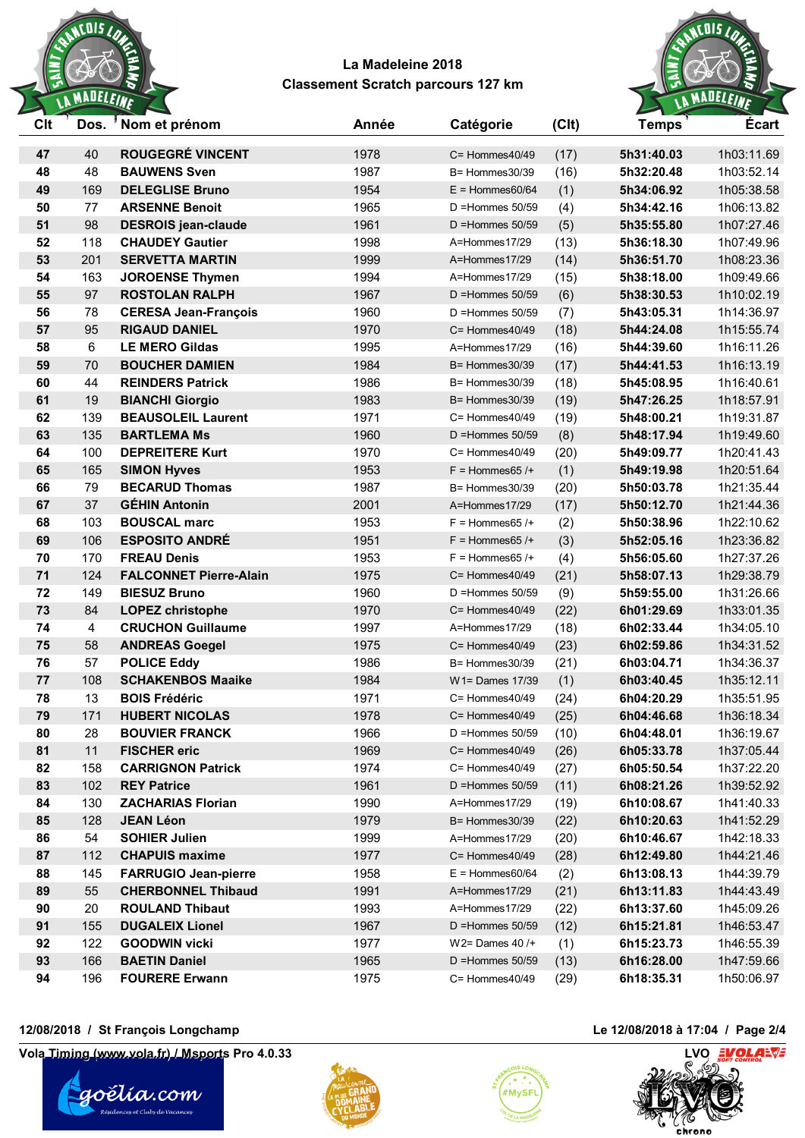



| Clt      | Dos.           | 'Nom et prénom                               | Année        | Catégorie                       | (C <sub>l</sub> ) | <b>Temps</b>             | <b>Ecart</b>             |
|----------|----------------|----------------------------------------------|--------------|---------------------------------|-------------------|--------------------------|--------------------------|
| 47       | 40             | <b>ROUGEGRÉ VINCENT</b>                      | 1978         | $C =$ Hommes $40/49$            | (17)              | 5h31:40.03               | 1h03:11.69               |
| 48       | 48             | <b>BAUWENS Sven</b>                          | 1987         | $B =$ Hommes 30/39              | (16)              | 5h32:20.48               | 1h03:52.14               |
| 49       | 169            | <b>DELEGLISE Bruno</b>                       | 1954         | $E =$ Hommes60/64               | (1)               | 5h34:06.92               | 1h05:38.58               |
| 50       | 77             | <b>ARSENNE Benoit</b>                        | 1965         | $D =$ Hommes $50/59$            | (4)               | 5h34:42.16               | 1h06:13.82               |
| 51       | 98             | <b>DESROIS</b> jean-claude                   | 1961         | $D =$ Hommes $50/59$            | (5)               | 5h35:55.80               | 1h07:27.46               |
| 52       | 118            | <b>CHAUDEY Gautier</b>                       | 1998         | A=Hommes17/29                   | (13)              | 5h36:18.30               | 1h07:49.96               |
| 53       | 201            | <b>SERVETTA MARTIN</b>                       | 1999         | A=Hommes17/29                   | (14)              | 5h36:51.70               | 1h08:23.36               |
| 54       | 163            | <b>JOROENSE Thymen</b>                       | 1994         | A=Hommes17/29                   | (15)              | 5h38:18.00               | 1h09:49.66               |
| 55       | 97             | <b>ROSTOLAN RALPH</b>                        | 1967         | $D =$ Hommes 50/59              | (6)               | 5h38:30.53               | 1h10:02.19               |
| 56       | 78             | <b>CERESA Jean-François</b>                  | 1960         | $D =$ Hommes $50/59$            | (7)               | 5h43:05.31               | 1h14:36.97               |
| 57       | 95             | <b>RIGAUD DANIEL</b>                         | 1970         | $C =$ Hommes $40/49$            | (18)              | 5h44:24.08               | 1h15:55.74               |
| 58       | 6              | <b>LE MERO Gildas</b>                        | 1995         | A=Hommes17/29                   | (16)              | 5h44:39.60               | 1h16:11.26               |
| 59       | 70             | <b>BOUCHER DAMIEN</b>                        | 1984         | $B =$ Hommes 30/39              | (17)              | 5h44:41.53               | 1h16:13.19               |
| 60       | 44             | <b>REINDERS Patrick</b>                      | 1986         | B= Hommes30/39                  | (18)              | 5h45:08.95               | 1h16:40.61               |
| 61       | 19             | <b>BIANCHI Giorgio</b>                       | 1983         | $B =$ Hommes 30/39              | (19)              | 5h47:26.25               | 1h18:57.91               |
| 62       | 139            | <b>BEAUSOLEIL Laurent</b>                    | 1971         | $C =$ Hommes $40/49$            | (19)              | 5h48:00.21               | 1h19:31.87               |
| 63       | 135            | <b>BARTLEMA Ms</b>                           | 1960         | $D =$ Hommes $50/59$            | (8)               | 5h48:17.94               | 1h19:49.60               |
| 64       | 100            | <b>DEPREITERE Kurt</b>                       | 1970         | C= Hommes40/49                  | (20)              | 5h49:09.77               | 1h20:41.43               |
| 65       | 165            | <b>SIMON Hyves</b>                           | 1953         | $F =$ Hommes 65 /+              | (1)               | 5h49:19.98               | 1h20:51.64               |
| 66       | 79             | <b>BECARUD Thomas</b>                        | 1987         | B= Hommes30/39                  | (20)              | 5h50:03.78               | 1h21:35.44               |
| 67       | 37             | <b>GÉHIN Antonin</b>                         | 2001         | A=Hommes17/29                   | (17)              | 5h50:12.70               | 1h21:44.36               |
| 68       | 103            | <b>BOUSCAL marc</b>                          | 1953         | $F =$ Hommes 65 /+              | (2)               | 5h50:38.96               | 1h22:10.62               |
| 69       | 106            | <b>ESPOSITO ANDRÉ</b>                        | 1951         | $F =$ Hommes 65 /+              | (3)               | 5h52:05.16               | 1h23:36.82               |
| 70       | 170            | <b>FREAU Denis</b>                           | 1953         | $F =$ Hommes 65 /+              | (4)               | 5h56:05.60               | 1h27:37.26               |
| 71       | 124            | <b>FALCONNET Pierre-Alain</b>                | 1975         | $C =$ Hommes $40/49$            | (21)              | 5h58:07.13               | 1h29:38.79               |
| 72       | 149            | <b>BIESUZ Bruno</b>                          | 1960         | $D =$ Hommes $50/59$            | (9)               | 5h59:55.00               | 1h31:26.66               |
| 73       | 84             | <b>LOPEZ christophe</b>                      | 1970         | C= Hommes40/49                  | (22)              | 6h01:29.69               | 1h33:01.35               |
| 74       | $\overline{4}$ | <b>CRUCHON Guillaume</b>                     | 1997         | A=Hommes17/29                   | (18)              | 6h02:33.44               | 1h34:05.10               |
| 75       | 58             | <b>ANDREAS Goegel</b>                        | 1975         | $C =$ Hommes $40/49$            | (23)              | 6h02:59.86               | 1h34:31.52               |
| 76       | 57             | <b>POLICE Eddy</b>                           | 1986         | B= Hommes30/39                  | (21)              | 6h03:04.71               | 1h34:36.37               |
| 77       | 108            | <b>SCHAKENBOS Maaike</b>                     | 1984         | $W1 =$ Dames $17/39$            | (1)               | 6h03:40.45               | 1h35:12.11               |
| 78       | 13             | <b>BOIS Frédéric</b>                         | 1971         | $C =$ Hommes $40/49$            | (24)              | 6h04:20.29               | 1h35:51.95               |
| 79       | 171            | <b>HUBERT NICOLAS</b>                        | 1978         | $C =$ Hommes $40/49$            | (25)              | 6h04:46.68               | 1h36:18.34               |
| 80       | 28             | <b>BOUVIER FRANCK</b>                        | 1966         | $D =$ Hommes $50/59$            | (10)              | 6h04:48.01               | 1h36:19.67               |
| 81       | 11             | <b>FISCHER</b> eric                          | 1969         | C= Hommes40/49                  | (26)              | 6h05:33.78               | 1h37:05.44               |
| 82       | 158            | <b>CARRIGNON Patrick</b>                     | 1974         | $C =$ Hommes $40/49$            | (27)              | 6h05:50.54               | 1h37:22.20               |
| 83       | 102            | <b>REY Patrice</b>                           | 1961         | $D =$ Hommes $50/59$            | (11)              | 6h08:21.26               | 1h39:52.92               |
| 84       | 130            | <b>ZACHARIAS Florian</b><br><b>JEAN Léon</b> | 1990         | A=Hommes17/29                   | (19)              | 6h10:08.67               | 1h41:40.33               |
| 85<br>86 | 128<br>54      | <b>SOHIER Julien</b>                         | 1979<br>1999 | B= Hommes30/39<br>A=Hommes17/29 | (22)              | 6h10:20.63               | 1h41:52.29<br>1h42:18.33 |
|          | 112            | <b>CHAPUIS maxime</b>                        |              | C= Hommes40/49                  | (20)              | 6h10:46.67               |                          |
| 87<br>88 | 145            | <b>FARRUGIO Jean-pierre</b>                  | 1977<br>1958 | $E =$ Hommes60/64               | (28)              | 6h12:49.80<br>6h13:08.13 | 1h44:21.46<br>1h44:39.79 |
| 89       | 55             | <b>CHERBONNEL Thibaud</b>                    | 1991         | A=Hommes17/29                   | (2)<br>(21)       | 6h13:11.83               | 1h44:43.49               |
| 90       | 20             | <b>ROULAND Thibaut</b>                       | 1993         | A=Hommes17/29                   | (22)              | 6h13:37.60               | 1h45:09.26               |
| 91       | 155            | <b>DUGALEIX Lionel</b>                       | 1967         | $D =$ Hommes $50/59$            | (12)              | 6h15:21.81               | 1h46:53.47               |
| 92       | 122            | <b>GOODWIN vicki</b>                         | 1977         | $W2 =$ Dames 40 /+              | (1)               | 6h15:23.73               | 1h46:55.39               |
| 93       | 166            | <b>BAETIN Daniel</b>                         | 1965         | $D =$ Hommes 50/59              | (13)              | 6h16:28.00               | 1h47:59.66               |
| 94       | 196            | <b>FOURERE Erwann</b>                        | 1975         | C= Hommes40/49                  | (29)              | 6h18:35.31               | 1h50:06.97               |
|          |                |                                              |              |                                 |                   |                          |                          |

### **12/08/2018 / St François Longchamp Le 12/08/2018 à 17:04 / Page 2/4**

**Vola Timing (www.vola.fr) / Msports Pro 4.0.33 LVO LVO LVO LVO LVO LVO** 







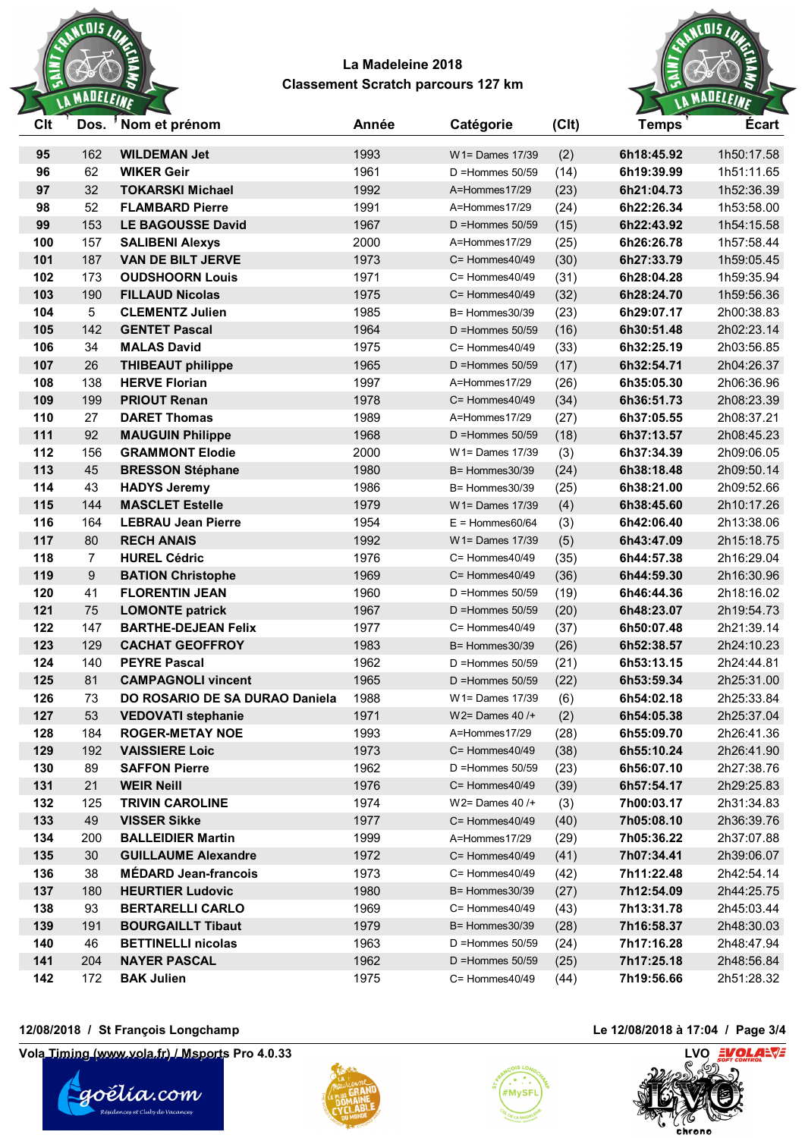



| Clt | Dos.             | 'Nom et prénom                 | Année | Catégorie            | (C <sub>l</sub> ) | <b>Temps</b> | <b>Ecart</b> |
|-----|------------------|--------------------------------|-------|----------------------|-------------------|--------------|--------------|
| 95  | 162              | <b>WILDEMAN Jet</b>            | 1993  | $W1 =$ Dames 17/39   | (2)               | 6h18:45.92   | 1h50:17.58   |
| 96  | 62               | <b>WIKER Geir</b>              | 1961  | $D =$ Hommes 50/59   | (14)              | 6h19:39.99   | 1h51:11.65   |
| 97  | 32               | <b>TOKARSKI Michael</b>        | 1992  | A=Hommes17/29        | (23)              | 6h21:04.73   | 1h52:36.39   |
| 98  | 52               | <b>FLAMBARD Pierre</b>         | 1991  | A=Hommes17/29        | (24)              | 6h22:26.34   | 1h53:58.00   |
| 99  | 153              | <b>LE BAGOUSSE David</b>       | 1967  | $D =$ Hommes 50/59   | (15)              | 6h22:43.92   | 1h54:15.58   |
| 100 | 157              | <b>SALIBENI Alexys</b>         | 2000  | A=Hommes17/29        | (25)              | 6h26:26.78   | 1h57:58.44   |
| 101 | 187              | <b>VAN DE BILT JERVE</b>       | 1973  | $C =$ Hommes $40/49$ | (30)              | 6h27:33.79   | 1h59:05.45   |
| 102 | 173              | <b>OUDSHOORN Louis</b>         | 1971  | $C =$ Hommes $40/49$ | (31)              | 6h28:04.28   | 1h59:35.94   |
| 103 | 190              | <b>FILLAUD Nicolas</b>         | 1975  | $C =$ Hommes $40/49$ | (32)              | 6h28:24.70   | 1h59:56.36   |
| 104 | $5\phantom{.0}$  | <b>CLEMENTZ Julien</b>         | 1985  | $B =$ Hommes 30/39   | (23)              | 6h29:07.17   | 2h00:38.83   |
| 105 | 142              | <b>GENTET Pascal</b>           | 1964  | $D =$ Hommes $50/59$ | (16)              | 6h30:51.48   | 2h02:23.14   |
| 106 | 34               | <b>MALAS David</b>             | 1975  | $C =$ Hommes $40/49$ | (33)              | 6h32:25.19   | 2h03:56.85   |
| 107 | 26               | <b>THIBEAUT philippe</b>       | 1965  | $D =$ Hommes 50/59   | (17)              | 6h32:54.71   | 2h04:26.37   |
| 108 | 138              | <b>HERVE Florian</b>           | 1997  | A=Hommes17/29        | (26)              | 6h35:05.30   | 2h06:36.96   |
| 109 | 199              | <b>PRIOUT Renan</b>            | 1978  | $C =$ Hommes $40/49$ | (34)              | 6h36:51.73   | 2h08:23.39   |
| 110 | 27               | <b>DARET Thomas</b>            | 1989  | A=Hommes17/29        | (27)              | 6h37:05.55   | 2h08:37.21   |
| 111 | 92               | <b>MAUGUIN Philippe</b>        | 1968  | $D =$ Hommes 50/59   | (18)              | 6h37:13.57   | 2h08:45.23   |
| 112 | 156              | <b>GRAMMONT Elodie</b>         | 2000  | W1= Dames 17/39      | (3)               | 6h37:34.39   | 2h09:06.05   |
| 113 | 45               | <b>BRESSON Stéphane</b>        | 1980  | B= Hommes30/39       | (24)              | 6h38:18.48   | 2h09:50.14   |
| 114 | 43               | <b>HADYS Jeremy</b>            | 1986  | B= Hommes30/39       | (25)              | 6h38:21.00   | 2h09:52.66   |
| 115 | 144              | <b>MASCLET Estelle</b>         | 1979  | $W1 =$ Dames $17/39$ | (4)               | 6h38:45.60   | 2h10:17.26   |
| 116 | 164              | <b>LEBRAU Jean Pierre</b>      | 1954  | $E =$ Hommes60/64    | (3)               | 6h42:06.40   | 2h13:38.06   |
| 117 | 80               | <b>RECH ANAIS</b>              | 1992  | $W1 =$ Dames $17/39$ | (5)               | 6h43:47.09   | 2h15:18.75   |
| 118 | $\overline{7}$   | <b>HUREL Cédric</b>            | 1976  | $C =$ Hommes $40/49$ | (35)              | 6h44:57.38   | 2h16:29.04   |
| 119 | $\boldsymbol{9}$ | <b>BATION Christophe</b>       | 1969  | $C =$ Hommes $40/49$ | (36)              | 6h44:59.30   | 2h16:30.96   |
| 120 | 41               | <b>FLORENTIN JEAN</b>          | 1960  | $D =$ Hommes 50/59   | (19)              | 6h46:44.36   | 2h18:16.02   |
| 121 | 75               | <b>LOMONTE patrick</b>         | 1967  | $D =$ Hommes 50/59   | (20)              | 6h48:23.07   | 2h19:54.73   |
| 122 | 147              | <b>BARTHE-DEJEAN Felix</b>     | 1977  | C= Hommes40/49       | (37)              | 6h50:07.48   | 2h21:39.14   |
| 123 | 129              | <b>CACHAT GEOFFROY</b>         | 1983  | B= Hommes30/39       | (26)              | 6h52:38.57   | 2h24:10.23   |
| 124 | 140              | <b>PEYRE Pascal</b>            | 1962  | $D =$ Hommes 50/59   | (21)              | 6h53:13.15   | 2h24:44.81   |
| 125 | 81               | <b>CAMPAGNOLI vincent</b>      | 1965  | $D =$ Hommes 50/59   | (22)              | 6h53:59.34   | 2h25:31.00   |
| 126 | 73               | DO ROSARIO DE SA DURAO Daniela | 1988  | W1= Dames 17/39      | (6)               | 6h54:02.18   | 2h25:33.84   |
| 127 | 53               | <b>VEDOVATI stephanie</b>      | 1971  | W2= Dames $40/$ +    | (2)               | 6h54:05.38   | 2h25:37.04   |
| 128 | 184              | <b>ROGER-METAY NOE</b>         | 1993  | A=Hommes17/29        | (28)              | 6h55:09.70   | 2h26:41.36   |
| 129 | 192              | <b>VAISSIERE Loic</b>          | 1973  | C= Hommes40/49       | (38)              | 6h55:10.24   | 2h26:41.90   |
| 130 | 89               | <b>SAFFON Pierre</b>           | 1962  | $D =$ Hommes 50/59   | (23)              | 6h56:07.10   | 2h27:38.76   |
| 131 | 21               | <b>WEIR Neill</b>              | 1976  | C= Hommes40/49       | (39)              | 6h57:54.17   | 2h29:25.83   |
| 132 | 125              | <b>TRIVIN CAROLINE</b>         | 1974  | W2= Dames $40/$ +    | (3)               | 7h00:03.17   | 2h31:34.83   |
| 133 | 49               | <b>VISSER Sikke</b>            | 1977  | $C =$ Hommes $40/49$ | (40)              | 7h05:08.10   | 2h36:39.76   |
| 134 | 200              | <b>BALLEIDIER Martin</b>       | 1999  | A=Hommes17/29        | (29)              | 7h05:36.22   | 2h37:07.88   |
| 135 | 30               | <b>GUILLAUME Alexandre</b>     | 1972  | C= Hommes40/49       | (41)              | 7h07:34.41   | 2h39:06.07   |
| 136 | 38               | <b>MÉDARD Jean-francois</b>    | 1973  | C= Hommes40/49       | (42)              | 7h11:22.48   | 2h42:54.14   |
| 137 | 180              | <b>HEURTIER Ludovic</b>        | 1980  | $B =$ Hommes 30/39   | (27)              | 7h12:54.09   | 2h44:25.75   |
| 138 | 93               | <b>BERTARELLI CARLO</b>        | 1969  | C= Hommes40/49       | (43)              | 7h13:31.78   | 2h45:03.44   |
| 139 | 191              | <b>BOURGAILLT Tibaut</b>       | 1979  | B= Hommes30/39       | (28)              | 7h16:58.37   | 2h48:30.03   |
| 140 | 46               | <b>BETTINELLI nicolas</b>      | 1963  | $D =$ Hommes $50/59$ | (24)              | 7h17:16.28   | 2h48:47.94   |
| 141 | 204              | <b>NAYER PASCAL</b>            | 1962  | D = Hommes $50/59$   | (25)              | 7h17:25.18   | 2h48:56.84   |
| 142 | 172              | <b>BAK Julien</b>              | 1975  | C= Hommes40/49       | (44)              | 7h19:56.66   | 2h51:28.32   |
|     |                  |                                |       |                      |                   |              |              |

### **12/08/2018 / St François Longchamp Le 12/08/2018 à 17:04 / Page 3/4**

**Vola Timing (www.vola.fr) / Msports Pro 4.0.33 LVO LVO LVO LVO LVO LVO**